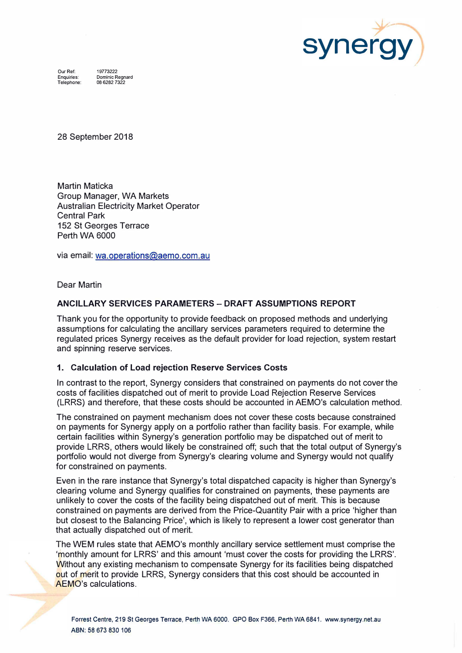

Our Ref: Enquiries: Telephone: 19773222 Dominic Regnard 086282 7322

28 September 2018

Martin Maticka Group Manager, WA Markets Australian Electricity Market Operator Central Park 152 St Georges Terrace Perth WA 6000

via email: wa.operations@aemo.com.au

Dear Martin

# ANCILLARY SERVICES PARAMETERS- DRAFT ASSUMPTIONS REPORT

Thank you for the opportunity to provide feedback on proposed methods and underlying assumptions for calculating the ancillary services parameters required to determine the regulated prices Synergy receives as the default provider for load rejection, system restart and spinning reserve services.

# 1. Calculation of Load rejection Reserve Services Costs

In contrast to the report, Synergy considers that constrained on payments do not cover the costs of facilities dispatched out of merit to provide Load Rejection Reserve Services (LRRS) and therefore, that these costs should be accounted in AEMO's calculation method.

The constrained on payment mechanism does not cover these costs because constrained on payments for Synergy apply on a portfolio rather than facility basis. For example, while certain facilities within Synergy's generation portfolio may be dispatched out of merit to provide LRRS, others would likely be constrained off; such that the total output of Synergy's portfolio would not diverge from Synergy's clearing volume and Synergy would not qualify for constrained on payments.

Even in the rare instance that Synergy's total dispatched capacity is higher than Synergy's clearing volume and Synergy qualifies for constrained on payments, these payments are unlikely to cover the costs of the facility being dispatched out of merit. This is because constrained on payments are derived from the Price-Quantity Pair with a price 'higher than but closest to the Balancing Price', which is likely to represent a lower cost generator than that actually dispatched out of merit.

The WEM rules state that AEMO's monthly ancillary service settlement must comprise the 'monthly amount for LRRS' and this amount 'must cover the costs for providing the LRRS'. Without any existing mechanism to compensate Synergy for its facilities being dispatched out of merit to provide LRRS, Synergy considers that this cost should be accounted in AEMO's calculations.